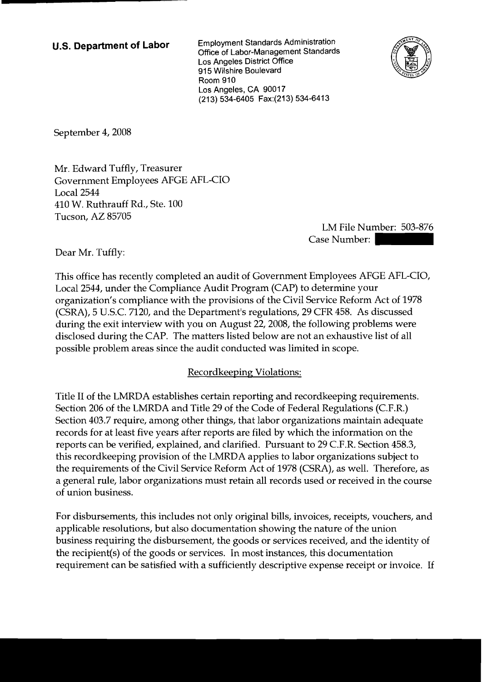**U.S. Department of Labor** Employment Standards Administration Office of Labor-Management Standards Los Angeles District office 915 Wilshire Boulevard Room 910 Los Angeles, CA 90017 (21 3) 534-6405 Fax:(213) 534-641 3



September 4, 2008

Mr. Edward Tuffly, Treasurer Government Employees AFGE AFL-CIO Local 2544 410 W. Ruthrauff Rd., Ste. 100 Tucson, AZ 85705

LM File Number: 503-876 -6413<br>LM File Number: 503-876<br>Case Number:<br>Employees AFGE AFL-CIO,

Dear Mr. Tuffly:

This office has recently completed an audit of Government Employees AFGE AFL-CIO, Local 2544, under the Compliance Audit Program (CAP) to determine your organization's compliance with the provisions of the Civil Service Reform Act of 1978 (CSRA), 5 U.S.C. 7120, and the Department's regulations, 29 CFR 458. As discussed during the exit interview with you on August 22,2008, the following problems were disclosed during the CAP. The matters listed below are not an exhaustive list of all possible problem areas since the audit conducted was limited in scope.

## Recordkeeping Violations:

Title I1 of the LMRDA establishes certain reporting and recordkeeping requirements. Section 206 of the LMRDA and Title 29 of the Code of Federal Regulations (C.F.R.) Section 403.7 require, among other things, that labor organizations maintain adequate records for at least five years after reports are filed by which the information on the reports can be verified, explained, and clarified. Pursuant to 29 C.F.R. Section 458.3, this recordkeeping provision of the LMRDA applies to labor organizations subject to the requirements of the Civil Service Reform Act of 1978 (CSRA), as well. Therefore, as a general rule, labor organizations must retain all records used or received in the course of union business.

For disbursements, this includes not only original bills, invoices, receipts, vouchers, and applicable resolutions, but also documentation showing the nature of the union business requiring the disbursement, the goods or services received, and the identity of the recipient(s) of the goods or services. In most instances, this documentation requirement can be satisfied with a sufficiently descriptive expense receipt or invoice. If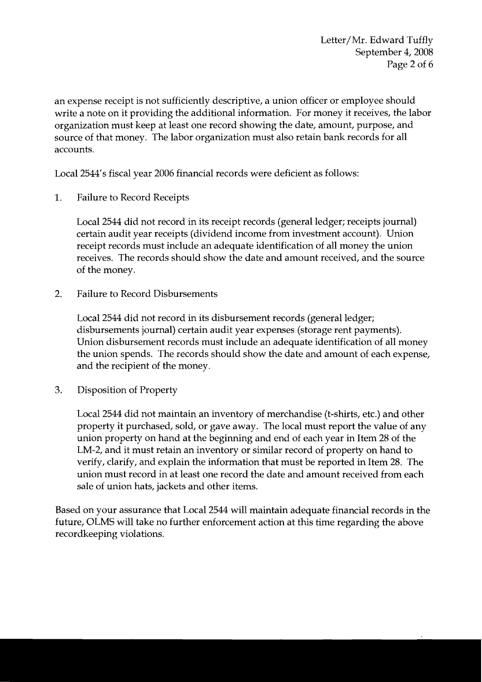Letter/Mr. Edward Tuffly September 4, 2008 Page 2 of 6

an expense receipt is not sufficiently descriptive, a union officer or employee should write a note on it providing the additional information. For money it receives, the labor organization must keep at least one record showing the date, amount, purpose, and source of that money. The labor organization must also retain bank records for all accounts.

Local 2544's fiscal year 2006 financial records were deficient as follows:

1. Failure to Record Receipts

Local 2544 did not record in its receipt records (general ledger; receipts journal) certain audit year receipts (dividend income from investment account). Union receipt records must include an adequate identification of all money the union receives. The records should show the date and amount received, and the source of the money.

2. Failure to Record Disbursements

Local 2544 did not record in its disbursement records (general ledger; disbursements journal) certain audit year expenses (storage rent payments). Union disbursement records must include an adequate identification of all money the union spends. The records should show the date and amount of each expense, and the recipient of the money.

**3.** Disposition of Property

Local 2544 did not maintain an inventory of merchandise (t-shirts, etc.) and other property it purchased, sold, or gave away. The local must report the value of any union property on hand at the beginning and end of each year in Item 28 of the LM-2, and it must retain an inventory or similar record of property on hand to verify, clarify, and explain the information that must be reported in Item 28. The union must record in at least one record the date and amount received from each sale of union hats, jackets and other items.

Based on your assurance that Local 2544 will maintain adequate financial records in the future, OLMS will take no further enforcement action at this time regarding the above recordkeeping violations.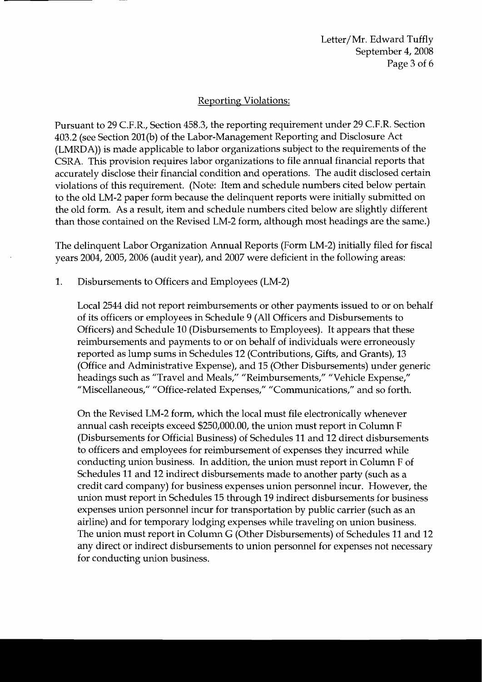Letter/Mr. Edward Tuffly September 4, 2008 Page 3 of 6

### **Reporting Violations:**

Pursuant to 29 C.F.R., Section 458.3, the reporting requirement under 29 C.F.R. Section 403.2 (see Section 201(b) of the Labor-Management Reporting and Disclosure Act (LMRDA)) is made applicable to labor organizations subject to the requirements of the CSRA. This provision requires labor organizations to file annual financial reports that accurately disclose their financial condition and operations. The audit disclosed certain violations of this requirement. (Note: Item and schedule numbers cited below pertain to the old LM-2 paper form because the delinquent reports were initially submitted on the old form. As a result, item and schedule numbers cited below are slightly different than those contained on the Revised LM-2 form, although most headings are the same.)

The delinquent Labor Organization Annual Reports (Form LM-2) initially filed for fiscal years 2004, 2005, 2006 (audit year), and 2007 were deficient in the following areas:

1. Disbursements to Officers and Employees (LM-2)

Local 2544 did not report reimbursements or other payments issued to or on behalf of its officers or employees in Schedule 9 (All Officers and Disbursements to Officers) and Schedule 10 (Disbursements to Employees). It appears that these reimbursements and payments to or on behalf of individuals were erroneously reported as lump sums in Schedules 12 (Contributions, Gifts, and Grants), 13 (Office and Administrative Expense), and 15 (Other Disbursements) under generic headings such as "Travel and Meals," "Reimbursements," "Vehicle Expense," "Miscellaneous," "Office-related Expenses," "Communications," and so forth.

On the Revised LM-2 form, which the local must file electronically whenever annual cash receipts exceed \$250,000.00, the union must report in Column F (Disbursements for Official Business) of Schedules 11 and 12 direct disbursements to officers and employees for reimbursement of expenses they incurred while conducting union business. In addition, the union must report in Column F of Schedules 11 and 12 indirect disbursements made to another party (such as a credit card company) for business expenses union personnel incur. However, the union must report in Schedules 15 through 19 indirect disbursements for business expenses union personnel incur for transportation by public carrier (such as an airline) and for temporary lodging expenses while traveling on union business. The union must report in Column G (Other Disbursements) of Schedules 11 and 12 any direct or indirect disbursements to union personnel for expenses not necessary for conducting union business.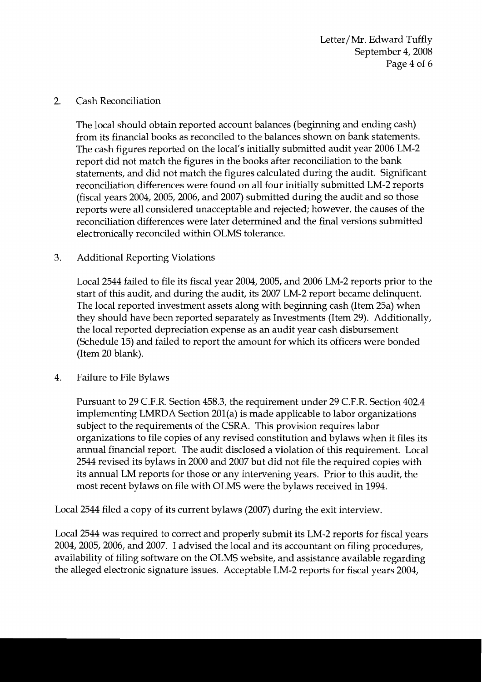Letter/Mr. Edward Tuffly September 4, 2008 Page 4 of 6

### 2. Cash Reconciliation

The local should obtain reported account balances (beginning and ending cash) from its financial books as reconciled to the balances shown on bank statements. The cash figures reported on the local's initially submitted audit year 2006 LM-2 report did not match the figures in the books after reconciliation to the bank statements, and did not match the figures calculated during the audit. Significant reconciliation differences were found on all four initially submitted LM-2 reports (fiscal years 2004,2005,2006, and 2007) submitted during the audit and so those reports were all considered unacceptable and rejected; however, the causes of the reconciliation differences were later determined and the final versions submitted electronically reconciled within OLMS tolerance.

## 3. Additional Reporting Violations

Local 2544 failed to file its fiscal year 2004, 2005, and 2006 LM-2 reports prior to the start of this audit, and during the audit, its 2007 LM-2 report became delinquent. The local reported investment assets along with beginning cash (Item 25a) when they should have been reported separately as Investments (Item 29). Additionally, the local reported depreciation expense as an audit year cash disbursement (Schedule 15) and failed to report the amount for which its officers were bonded (Item 20 blank).

4. Failure to File Bylaws

Pursuant to 29 C.F.R. Section 458.3, the requirement under 29 C.F.R. Section 402.4 implementing LMRDA Section 201(a) is made applicable to labor organizations subject to the requirements of the CSRA. This provision requires labor organizations to file copies of any revised constitution and bylaws when it files its annual financial report. The audit disclosed a violation of this requirement. Local 2544 revised its bylaws in 2000 and 2007 but did not file the required copies with its annual LM reports for those or any intervening years. Prior to this audit, the most recent bylaws on file with OLMS were the bylaws received in 1994.

Local 2544 filed a copy of its current bylaws (2007) during the exit interview

Local 2544 was required to correct and properly submit its LM-2 reports for fiscal years 2004,2005,2006, and 2007. I advised the local and its accountant on filing procedures, availability of filing software on the OLMS website, and assistance available regarding the alleged electronic signature issues. Acceptable LM-2 reports for fiscal years 2004,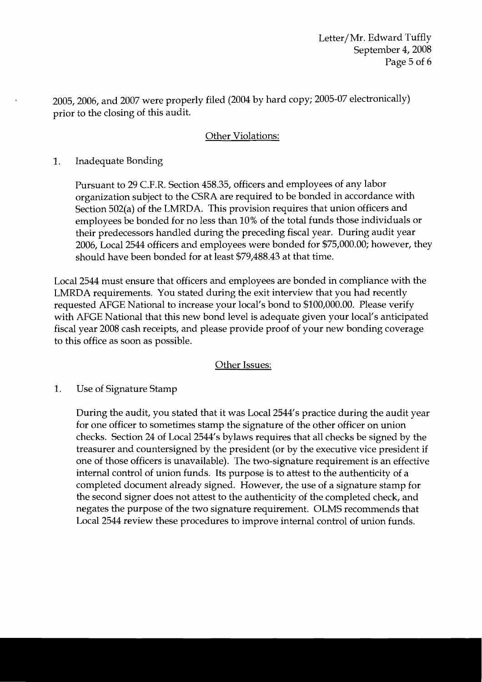2005,2006, and 2007 were properly filed (2004 by hard copy; 2005-07 electronically) prior to the closing of this audit.

## Other Violations:

# 1. Inadequate Bonding

Pursuant to 29 C.F.R. Section 458.35, officers and employees of any labor organization subject to the CSRA are required to be bonded in accordance with Section 502(a) of the LMRDA. This provision requires that union officers and employees be bonded for no less than 10% of the total funds those individuals or their predecessors handled during the preceding fiscal year. During audit year 2006, Local 2544 officers and employees were bonded for \$75,000.00; however, they should have been bonded for at least \$79,488.43 at that time.

Local 2544 must ensure that officers and employees are bonded in compliance with the LMRDA requirements. You stated during the exit interview that you had recently requested AFGE National to increase your local's bond to \$100,000.00. Please verify with AFGE National that this new bond level is adequate given your local's anticipated fiscal year 2008 cash receipts, and please provide proof of your new bonding coverage to this office as soon as possible.

## **Other Issues:**

1. Use of Signature Stamp

> During the audit, you stated that it was Local 2544's practice during the audit year for one officer to sometimes stamp the signature of the other officer on union checks. Section 24 of Local 2544's bylaws requires that all checks be signed by the treasurer and countersigned by the president (or by the executive vice president if one of those officers is unavailable). The two-signature requirement is an effective internal control of union funds. Its purpose is to attest to the authenticity of a completed document already signed. However, the use of a signature stamp for the second signer does not attest to the authenticity of the completed check, and negates the purpose of the two signature requirement. OLMS recommends that Local 2544 review these procedures to improve internal control of union funds.